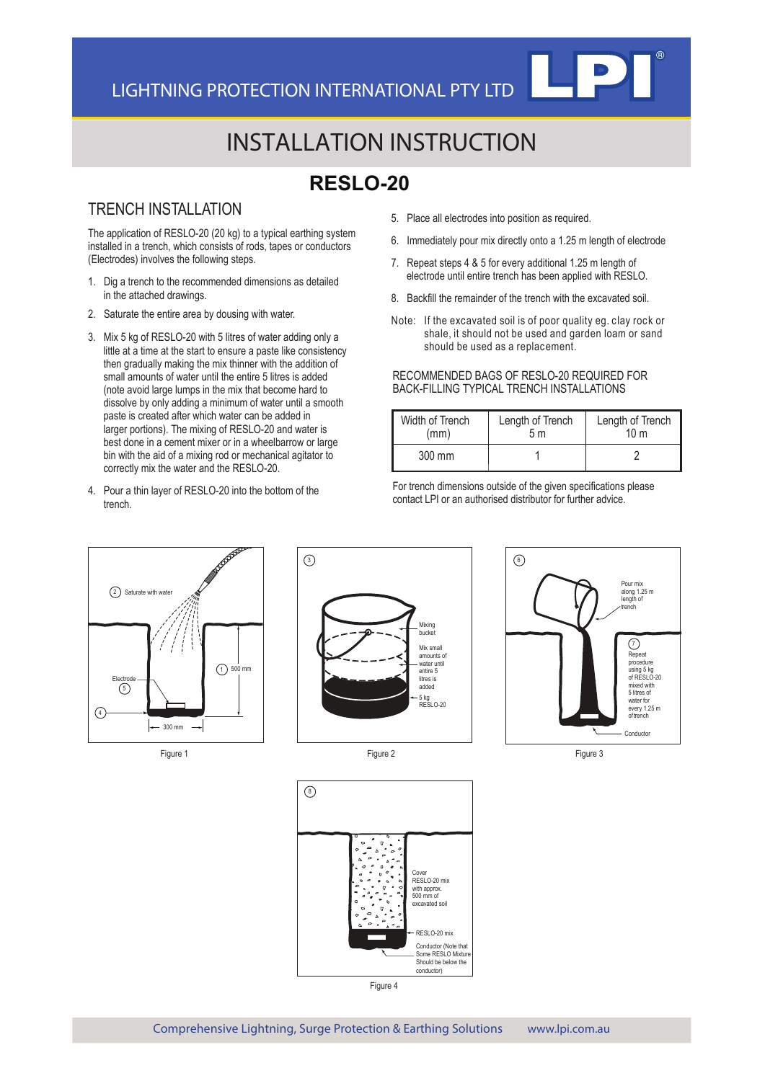# INSTALLATION INSTRUCTION

## **RESLO-20**

#### TRENCH INSTALLATION

The application of RESLO-20 (20 kg) to a typical earthing system installed in a trench, which consists of rods, tapes or conductors (Electrodes) involves the following steps.

- 1. Dig a trench to the recommended dimensions as detailed in the attached drawings.
- 2. Saturate the entire area by dousing with water.
- 3. Mix 5 kg of RESLO-20 with 5 litres of water adding only a little at a time at the start to ensure a paste like consistency then gradually making the mix thinner with the addition of small amounts of water until the entire 5 litres is added (note avoid large lumps in the mix that become hard to dissolve by only adding a minimum of water until a smooth paste is created after which water can be added in larger portions). The mixing of RESLO-20 and water is best done in a cement mixer or in a wheelbarrow or large bin with the aid of a mixing rod or mechanical agitator to correctly mix the water and the RESLO-20.
- 4. Pour a thin layer of RESLO-20 into the bottom of the trench.
- 5. Place all electrodes into position as required.
- 6. Immediately pour mix directly onto a 1.25 m length of electrode
- 7. Repeat steps 4 & 5 for every additional 1.25 m length of electrode until entire trench has been applied with RESLO.
- 8. Backfill the remainder of the trench with the excavated soil.
- Note: If the excavated soil is of poor quality eg. clay rock or shale, it should not be used and garden loam or sand should be used as a replacement.

#### RECOMMENDED BAGS OF RESLO-20 REQUIRED FOR BACK-FILLING TYPICAL TRENCH INSTALLATIONS

| Width of Trench  | Length of Trench | Length of Trench |
|------------------|------------------|------------------|
| (mm)             | 5m               | 10 <sub>m</sub>  |
| $300 \text{ mm}$ |                  |                  |

For trench dimensions outside of the given specifications please contact LPI or an authorised distributor for further advice.



Figure 1



Figure 2



Figure 3



Figure 4